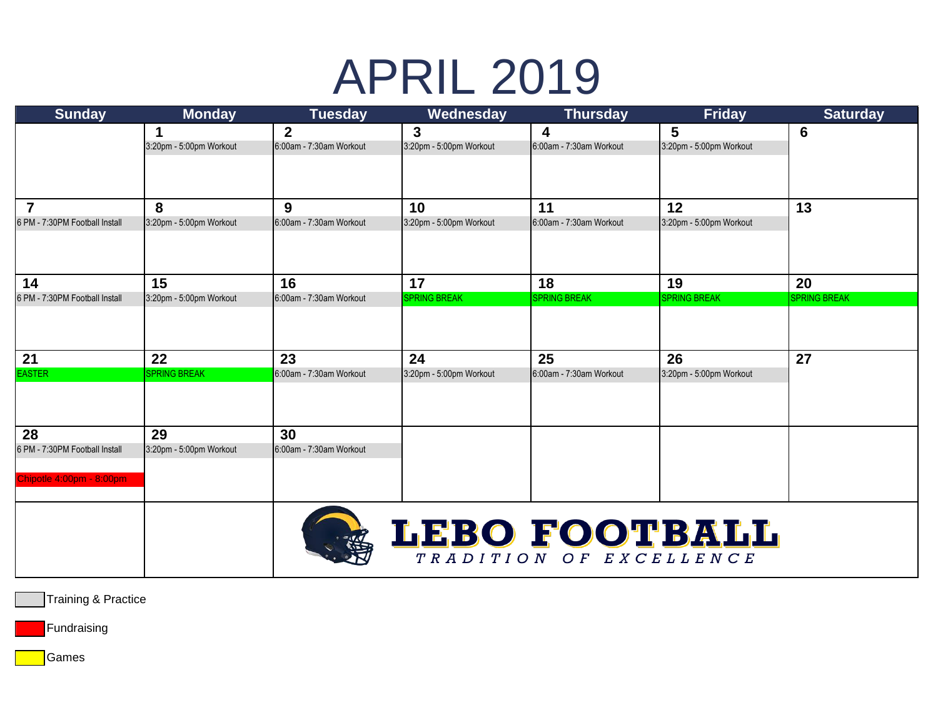## APRIL 2019

| <b>Sunday</b>                  | <b>Monday</b>           | <b>Tuesday</b>          | Wednesday               | <b>Thursday</b>         | <b>Friday</b>           | <b>Saturday</b>     |
|--------------------------------|-------------------------|-------------------------|-------------------------|-------------------------|-------------------------|---------------------|
|                                | 1                       | $\overline{2}$          | 3                       | $\overline{\mathbf{4}}$ | $5\phantom{.0}$         | $6\phantom{1}6$     |
|                                | 3:20pm - 5:00pm Workout | 6:00am - 7:30am Workout | 3:20pm - 5:00pm Workout | 6:00am - 7:30am Workout | 3:20pm - 5:00pm Workout |                     |
|                                |                         |                         |                         |                         |                         |                     |
|                                |                         |                         |                         |                         |                         |                     |
| $\overline{7}$                 | 8                       | 9                       | 10                      | 11                      | 12                      | 13                  |
| 6 PM - 7:30PM Football Install | 3:20pm - 5:00pm Workout | 6:00am - 7:30am Workout | 3:20pm - 5:00pm Workout | 6:00am - 7:30am Workout | 3:20pm - 5:00pm Workout |                     |
|                                |                         |                         |                         |                         |                         |                     |
|                                |                         |                         |                         |                         |                         |                     |
| 14                             | 15                      | 16                      | 17                      | 18                      | 19                      | 20                  |
| 6 PM - 7:30PM Football Install | 3:20pm - 5:00pm Workout | 6:00am - 7:30am Workout | <b>SPRING BREAK</b>     | <b>SPRING BREAK</b>     | <b>SPRING BREAK</b>     | <b>SPRING BREAK</b> |
|                                |                         |                         |                         |                         |                         |                     |
|                                |                         |                         |                         |                         |                         |                     |
| 21                             | 22                      | 23                      | 24                      | 25                      | 26                      | 27                  |
| <b>EASTER</b>                  | <b>SPRING BREAK</b>     | 6:00am - 7:30am Workout | 3:20pm - 5:00pm Workout | 6:00am - 7:30am Workout | 3:20pm - 5:00pm Workout |                     |
|                                |                         |                         |                         |                         |                         |                     |
|                                |                         |                         |                         |                         |                         |                     |
| 28                             | 29                      | 30                      |                         |                         |                         |                     |
| 6 PM - 7:30PM Football Install | 3:20pm - 5:00pm Workout | 6:00am - 7:30am Workout |                         |                         |                         |                     |
|                                |                         |                         |                         |                         |                         |                     |
| Chipotle 4:00pm - 8:00pm       |                         |                         |                         |                         |                         |                     |
|                                |                         |                         |                         |                         |                         |                     |
|                                |                         |                         |                         |                         |                         |                     |
|                                |                         |                         | LEBO FOOTBALL           |                         |                         |                     |
|                                |                         |                         |                         | TRADITION OF EXCELLENCE |                         |                     |

Training & Practice

Fundraising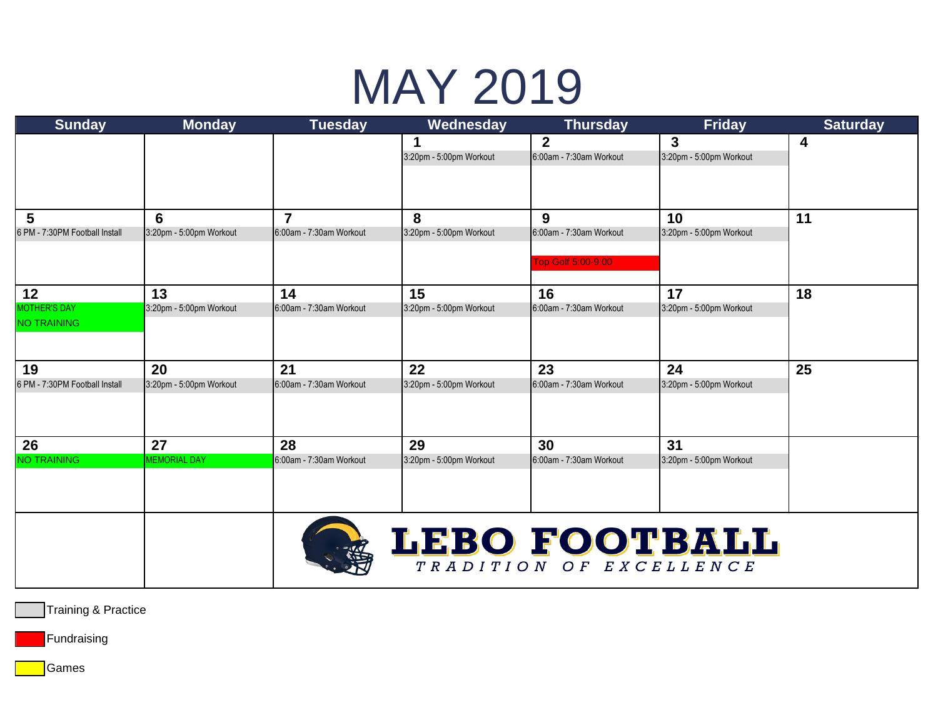# MAY 2019

| <b>Sunday</b><br><b>Monday</b><br><b>Tuesday</b><br>Wednesday<br><b>Thursday</b><br><b>Friday</b>                                                                                                         | <b>Saturday</b> |
|-----------------------------------------------------------------------------------------------------------------------------------------------------------------------------------------------------------|-----------------|
| $\overline{2}$<br>3<br>1                                                                                                                                                                                  | 4               |
| 3:20pm - 5:00pm Workout<br>3:20pm - 5:00pm Workout<br>6:00am - 7:30am Workout                                                                                                                             |                 |
|                                                                                                                                                                                                           |                 |
|                                                                                                                                                                                                           |                 |
| $\overline{7}$<br>5<br>6<br>8<br>9<br>10                                                                                                                                                                  | 11              |
| 3:20pm - 5:00pm Workout<br>6:00am - 7:30am Workout<br>3:20pm - 5:00pm Workout<br>6:00am - 7:30am Workout<br>3:20pm - 5:00pm Workout<br>6 PM - 7:30PM Football Install                                     |                 |
|                                                                                                                                                                                                           |                 |
| Top Golf 5:00-9:00                                                                                                                                                                                        |                 |
| 15<br>13<br>14<br>17<br>12<br>16                                                                                                                                                                          | 18              |
| <b>MOTHER'S DAY</b><br>3:20pm - 5:00pm Workout<br>6:00am - 7:30am Workout<br>3:20pm - 5:00pm Workout<br>6:00am - 7:30am Workout<br>3:20pm - 5:00pm Workout                                                |                 |
| <b>NO TRAINING</b>                                                                                                                                                                                        |                 |
|                                                                                                                                                                                                           |                 |
|                                                                                                                                                                                                           |                 |
| 21<br>22<br>24<br>20<br>23<br>19<br>6:00am - 7:30am Workout<br>6:00am - 7:30am Workout<br>3:20pm - 5:00pm Workout<br>6 PM - 7:30PM Football Install<br>3:20pm - 5:00pm Workout<br>3:20pm - 5:00pm Workout | 25              |
|                                                                                                                                                                                                           |                 |
|                                                                                                                                                                                                           |                 |
|                                                                                                                                                                                                           |                 |
| 27<br>28<br>29<br>30<br>31<br>26                                                                                                                                                                          |                 |
| <b>NO TRAINING</b><br><b>MEMORIAL DAY</b><br>6:00am - 7:30am Workout<br>3:20pm - 5:00pm Workout<br>3:20pm - 5:00pm Workout<br>6:00am - 7:30am Workout                                                     |                 |
|                                                                                                                                                                                                           |                 |
|                                                                                                                                                                                                           |                 |
|                                                                                                                                                                                                           |                 |
| LEBO FOOTBALL                                                                                                                                                                                             |                 |
| 等<br>TRADITION OF EXCELLENCE                                                                                                                                                                              |                 |

Training & Practice

Fundraising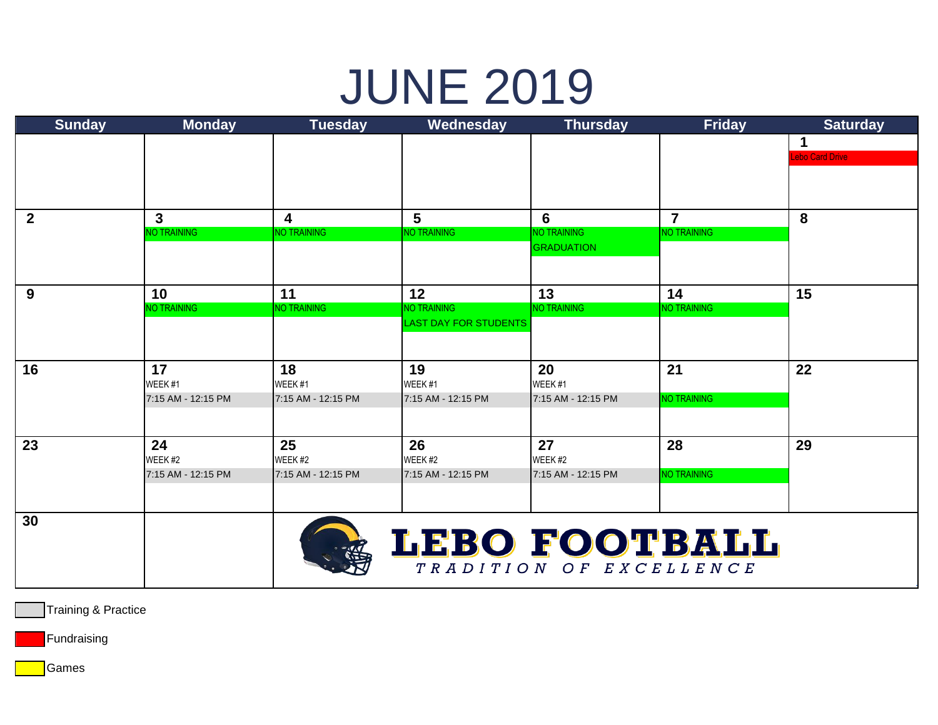#### JUNE 2019

| <b>Sunday</b> | <b>Monday</b>      | <b>Tuesday</b>          | Wednesday                    | <b>Thursday</b>         | <b>Friday</b>      | <b>Saturday</b>        |
|---------------|--------------------|-------------------------|------------------------------|-------------------------|--------------------|------------------------|
|               |                    |                         |                              |                         |                    | 1                      |
|               |                    |                         |                              |                         |                    | <b>Lebo Card Drive</b> |
|               |                    |                         |                              |                         |                    |                        |
|               |                    |                         |                              |                         |                    |                        |
| $2^{\circ}$   | $\mathbf{3}$       | $\overline{\mathbf{4}}$ | 5                            | 6                       | $\overline{7}$     | 8                      |
|               | <b>NO TRAINING</b> | NO TRAINING             | NO TRAINING                  | <b>NO TRAINING</b>      | <b>NO TRAINING</b> |                        |
|               |                    |                         |                              | <b>GRADUATION</b>       |                    |                        |
|               |                    |                         |                              |                         |                    |                        |
| 9             | 10                 | 11                      | 12                           | 13                      | 14                 | 15                     |
|               | <b>NO TRAINING</b> | <b>NO TRAINING</b>      | <b>NO TRAINING</b>           | <b>NO TRAINING</b>      | NO TRAINING        |                        |
|               |                    |                         | <b>LAST DAY FOR STUDENTS</b> |                         |                    |                        |
|               |                    |                         |                              |                         |                    |                        |
| 16            | 17                 | 18                      | 19                           | 20                      | 21                 | 22                     |
|               | WEEK #1            | WEEK#1                  | WEEK #1                      | WEEK <sub>#1</sub>      |                    |                        |
|               | 7:15 AM - 12:15 PM | 7:15 AM - 12:15 PM      | 7:15 AM - 12:15 PM           | 7:15 AM - 12:15 PM      | NO TRAINING        |                        |
|               |                    |                         |                              |                         |                    |                        |
| 23            | 24                 | 25                      | 26                           | 27                      | 28                 | 29                     |
|               | WEEK #2            | WEEK <sub>#2</sub>      | WEEK <sub>#2</sub>           | WEEK <sub>#2</sub>      |                    |                        |
|               | 7:15 AM - 12:15 PM | 7:15 AM - 12:15 PM      | 7:15 AM - 12:15 PM           | 7:15 AM - 12:15 PM      | NO TRAINING        |                        |
|               |                    |                         |                              |                         |                    |                        |
| 30            |                    |                         |                              |                         |                    |                        |
|               |                    |                         | LEBO FOOTBALL                |                         |                    |                        |
|               |                    |                         |                              |                         |                    |                        |
|               |                    |                         |                              | TRADITION OF EXCELLENCE |                    |                        |
|               |                    |                         |                              |                         |                    |                        |

Training & Practice

Fundraising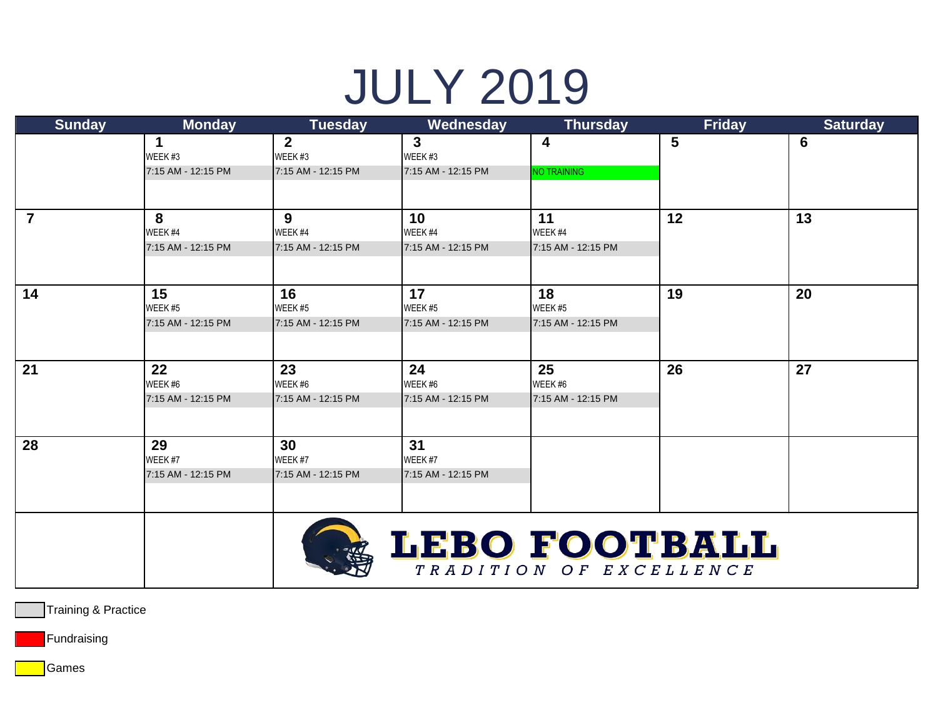# JULY 2019

| <b>Sunday</b>  | <b>Monday</b>      | <b>Tuesday</b>     | Wednesday          | <b>Thursday</b>         | <b>Friday</b> | <b>Saturday</b> |
|----------------|--------------------|--------------------|--------------------|-------------------------|---------------|-----------------|
|                | 1                  | $\overline{2}$     | $\mathbf{3}$       | 4                       | 5             | $6\phantom{1}6$ |
|                | WEEK#3             | WEEK #3            | WEEK #3            |                         |               |                 |
|                | 7:15 AM - 12:15 PM | 7:15 AM - 12:15 PM | 7:15 AM - 12:15 PM | <b>NO TRAINING</b>      |               |                 |
|                |                    |                    |                    |                         |               |                 |
| $\overline{7}$ | 8                  | 9                  | 10                 | 11                      | 12            | 13              |
|                | WEEK #4            | WEEK <sub>#4</sub> | WEEK #4            | WEEK <sub>#4</sub>      |               |                 |
|                | 7:15 AM - 12:15 PM | 7:15 AM - 12:15 PM | 7:15 AM - 12:15 PM | 7:15 AM - 12:15 PM      |               |                 |
|                |                    |                    |                    |                         |               |                 |
| 14             | 15                 | 16                 | 17                 | 18                      | 19            | 20              |
|                | WEEK #5            | WEEK #5            | WEEK #5            | WEEK <sub>#5</sub>      |               |                 |
|                | 7:15 AM - 12:15 PM | 7:15 AM - 12:15 PM | 7:15 AM - 12:15 PM | 7:15 AM - 12:15 PM      |               |                 |
|                |                    |                    |                    |                         |               |                 |
| 21             | 22                 | 23                 | 24                 | 25                      | 26            | 27              |
|                | WEEK #6            | WEEK #6            | WEEK #6            | WEEK #6                 |               |                 |
|                | 7:15 AM - 12:15 PM | 7:15 AM - 12:15 PM | 7:15 AM - 12:15 PM | 7:15 AM - 12:15 PM      |               |                 |
|                |                    |                    |                    |                         |               |                 |
| 28             | 29                 | 30                 | 31                 |                         |               |                 |
|                | WEEK #7            | WEEK #7            | WEEK #7            |                         |               |                 |
|                | 7:15 AM - 12:15 PM | 7:15 AM - 12:15 PM | 7:15 AM - 12:15 PM |                         |               |                 |
|                |                    |                    |                    |                         |               |                 |
|                |                    |                    |                    |                         |               |                 |
|                |                    |                    | LEBO FOOTBALL      |                         |               |                 |
|                |                    |                    |                    | TRADITION OF EXCELLENCE |               |                 |
|                |                    |                    |                    |                         |               |                 |

Training & Practice

Fundraising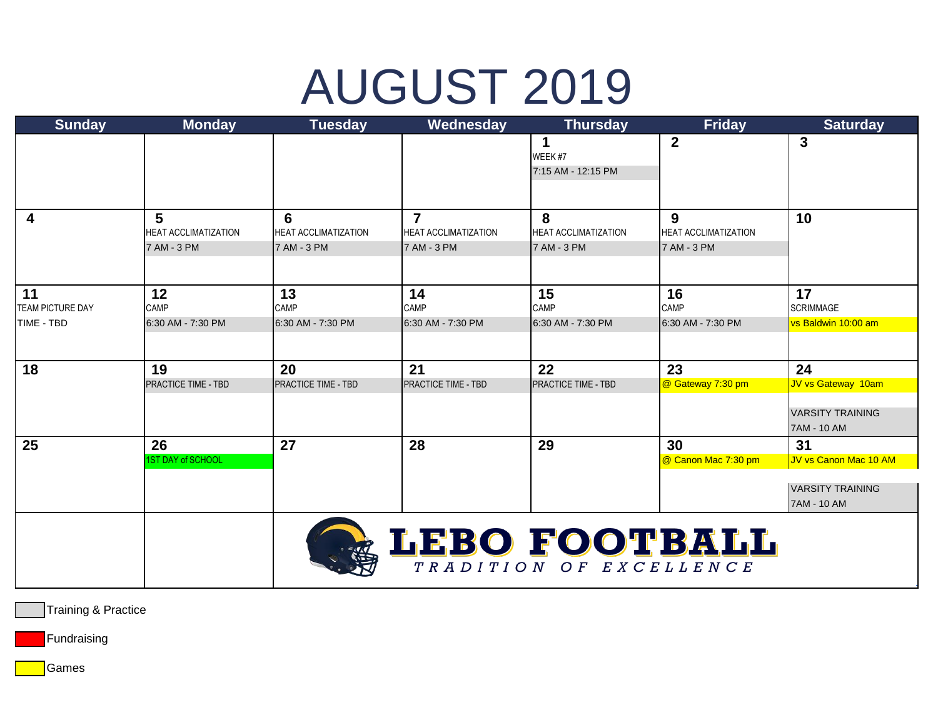# AUGUST 2019

| <b>Sunday</b>    | <b>Monday</b>               | <b>Tuesday</b>              | Wednesday                   | <b>Thursday</b>             | <b>Friday</b>               | <b>Saturday</b>         |
|------------------|-----------------------------|-----------------------------|-----------------------------|-----------------------------|-----------------------------|-------------------------|
|                  |                             |                             |                             | 1<br>WEEK #7                | $\mathbf{2}$                | 3                       |
|                  |                             |                             |                             | 7:15 AM - 12:15 PM          |                             |                         |
|                  |                             |                             |                             |                             |                             |                         |
| 4                | 5                           | 6                           | 7                           | 8                           | 9                           | 10                      |
|                  | <b>HEAT ACCLIMATIZATION</b> | <b>HEAT ACCLIMATIZATION</b> | <b>HEAT ACCLIMATIZATION</b> | <b>HEAT ACCLIMATIZATION</b> | <b>HEAT ACCLIMATIZATION</b> |                         |
|                  | 7 AM - 3 PM                 | 7 AM - 3 PM                 | 7 AM - 3 PM                 | 7 AM - 3 PM                 | 7 AM - 3 PM                 |                         |
|                  |                             |                             |                             |                             |                             |                         |
| 11               | 12                          | 13                          | 14                          | 15                          | 16                          | 17                      |
| TEAM PICTURE DAY | CAMP                        | CAMP                        | CAMP                        | CAMP                        | CAMP                        | <b>SCRIMMAGE</b>        |
| TIME - TBD       | 6:30 AM - 7:30 PM           | 6:30 AM - 7:30 PM           | 6:30 AM - 7:30 PM           | 6:30 AM - 7:30 PM           | 6:30 AM - 7:30 PM           | vs Baldwin 10:00 am     |
|                  |                             |                             |                             |                             |                             |                         |
| 18               | 19                          | 20                          | 21                          | 22                          | 23                          | 24                      |
|                  | PRACTICE TIME - TBD         | <b>PRACTICE TIME - TBD</b>  | <b>PRACTICE TIME - TBD</b>  | PRACTICE TIME - TBD         | @ Gateway 7:30 pm           | JV vs Gateway 10am      |
|                  |                             |                             |                             |                             |                             | <b>VARSITY TRAINING</b> |
|                  |                             |                             |                             |                             |                             | 7AM - 10 AM             |
| 25               | 26                          | 27                          | 28                          | 29                          | 30                          | 31                      |
|                  | 1ST DAY of SCHOOL           |                             |                             |                             | @ Canon Mac 7:30 pm         | JV vs Canon Mac 10 AM   |
|                  |                             |                             |                             |                             |                             | <b>VARSITY TRAINING</b> |
|                  |                             |                             |                             |                             |                             | 7AM - 10 AM             |
|                  |                             |                             |                             |                             |                             |                         |
|                  |                             |                             | LEBO FOOTBALL               |                             |                             |                         |
|                  |                             |                             |                             | TRADITION OF EXCELLENCE     |                             |                         |
|                  |                             |                             |                             |                             |                             |                         |

Training & Practice

Fundraising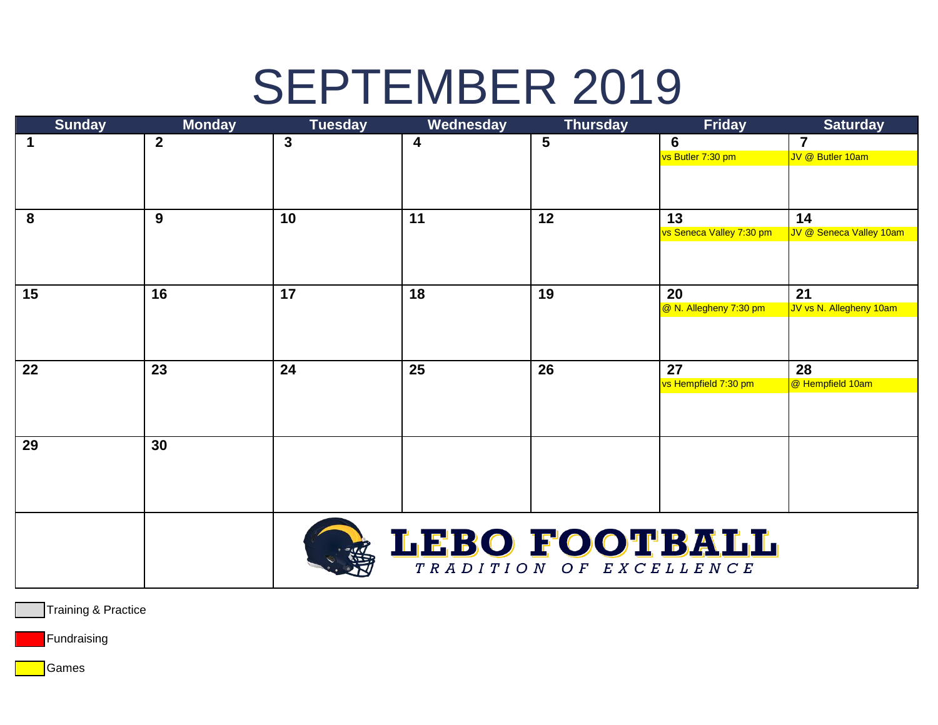### SEPTEMBER 2019

| <b>Sunday</b> | <b>Monday</b>    | <b>Tuesday</b> | Wednesday     | <b>Thursday</b>         | <b>Friday</b>                     | <b>Saturday</b>               |
|---------------|------------------|----------------|---------------|-------------------------|-----------------------------------|-------------------------------|
| 1             | $\boldsymbol{2}$ | $\mathbf{3}$   | 4             | 5                       | 6                                 | $\overline{7}$                |
|               |                  |                |               |                         | vs Butler 7:30 pm                 | JV @ Butler 10am              |
|               |                  |                |               |                         |                                   |                               |
|               |                  |                |               |                         |                                   |                               |
|               |                  |                |               |                         |                                   |                               |
| 8             | 9                | 10             | 11            | 12                      | 13<br>vs Seneca Valley 7:30 pm    | 14<br>JV @ Seneca Valley 10am |
|               |                  |                |               |                         |                                   |                               |
|               |                  |                |               |                         |                                   |                               |
|               |                  |                |               |                         |                                   |                               |
| 15            | 16               | 17             | 18            | 19                      | 20                                | 21                            |
|               |                  |                |               |                         | <sup>@</sup> N. Allegheny 7:30 pm | JV vs N. Allegheny 10am       |
|               |                  |                |               |                         |                                   |                               |
|               |                  |                |               |                         |                                   |                               |
|               |                  |                |               |                         |                                   |                               |
| 22            | 23               | 24             | 25            | 26                      | 27                                | 28                            |
|               |                  |                |               |                         | vs Hempfield 7:30 pm              | @ Hempfield 10am              |
|               |                  |                |               |                         |                                   |                               |
|               |                  |                |               |                         |                                   |                               |
| 29            | 30               |                |               |                         |                                   |                               |
|               |                  |                |               |                         |                                   |                               |
|               |                  |                |               |                         |                                   |                               |
|               |                  |                |               |                         |                                   |                               |
|               |                  |                |               |                         |                                   |                               |
|               |                  |                |               |                         |                                   |                               |
|               |                  |                | LEBO FOOTBALL |                         |                                   |                               |
|               |                  |                |               |                         |                                   |                               |
|               |                  |                |               | TRADITION OF EXCELLENCE |                                   |                               |

Training & Practice

Fundraising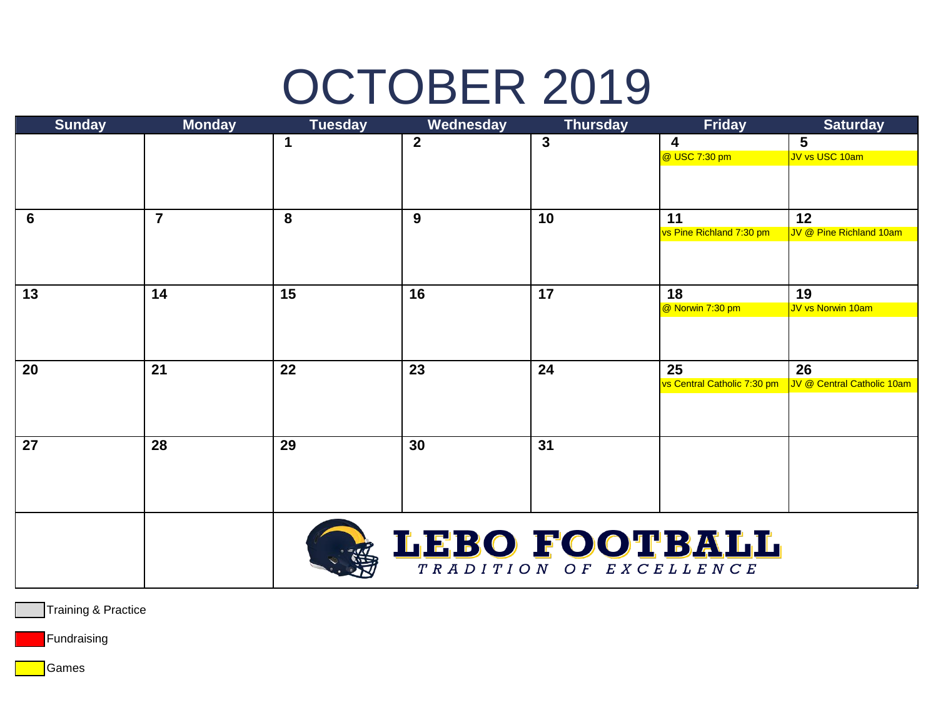# OCTOBER 2019

| <b>Sunday</b> | <b>Monday</b>  | <b>Tuesday</b> | Wednesday     | <b>Thursday</b>         | <b>Friday</b>                  | <b>Saturday</b>               |
|---------------|----------------|----------------|---------------|-------------------------|--------------------------------|-------------------------------|
|               |                | 1              | $\mathbf{2}$  | $\mathbf{3}$            | 4                              | 5                             |
|               |                |                | @ USC 7:30 pm | JV vs USC 10am          |                                |                               |
|               |                |                |               |                         |                                |                               |
|               |                |                |               |                         |                                |                               |
|               |                |                |               |                         |                                |                               |
| 6             | $\overline{7}$ | 8              | 9             | 10                      | 11<br>vs Pine Richland 7:30 pm | 12<br>JV @ Pine Richland 10am |
|               |                |                |               |                         |                                |                               |
|               |                |                |               |                         |                                |                               |
|               |                |                |               |                         |                                |                               |
| 13            | 14             | 15             | 16            | 17                      | 18                             | 19                            |
|               |                |                |               |                         | @ Norwin 7:30 pm               | JV vs Norwin 10am             |
|               |                |                |               |                         |                                |                               |
|               |                |                |               |                         |                                |                               |
|               |                |                |               |                         |                                |                               |
| 20            | 21             | 22             | 23            | 24                      | 25                             | 26                            |
|               |                |                |               |                         | vs Central Catholic 7:30 pm    | JV @ Central Catholic 10am    |
|               |                |                |               |                         |                                |                               |
|               |                |                |               |                         |                                |                               |
| 27            | 28             | 29             | 30            | 31                      |                                |                               |
|               |                |                |               |                         |                                |                               |
|               |                |                |               |                         |                                |                               |
|               |                |                |               |                         |                                |                               |
|               |                |                |               |                         |                                |                               |
|               |                |                |               |                         |                                |                               |
|               |                |                |               | LEBO FOOTBALL           |                                |                               |
|               |                |                |               |                         |                                |                               |
|               |                |                |               | TRADITION OF EXCELLENCE |                                |                               |

Training & Practice

Fundraising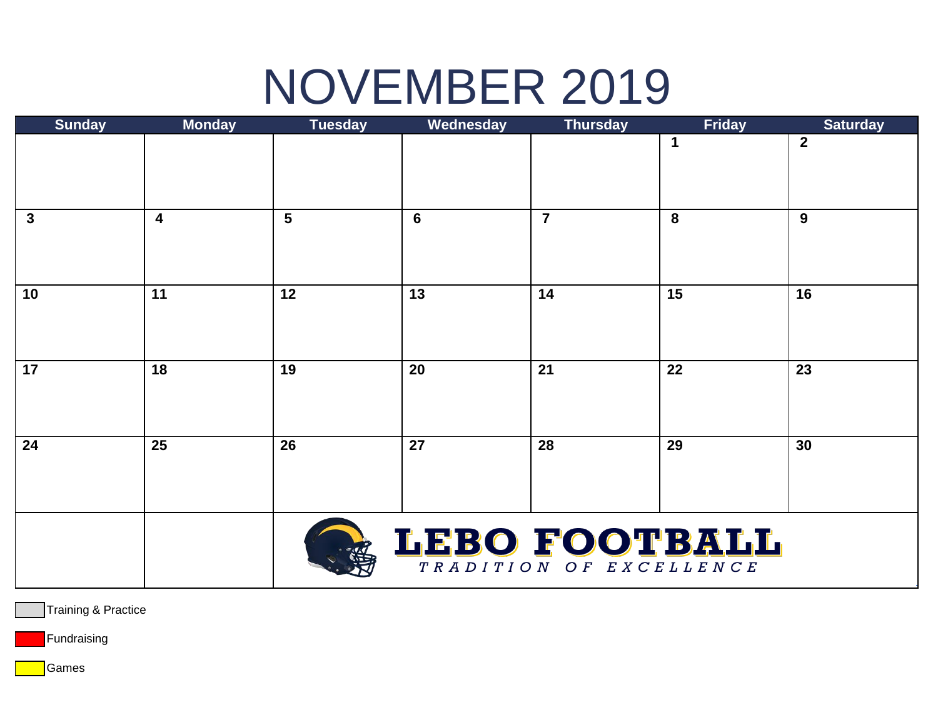### NOVEMBER 2019

| <b>Sunday</b> | <b>Monday</b>           | <b>Tuesday</b> | Wednesday       | <b>Thursday</b>         | <b>Friday</b> | <b>Saturday</b> |
|---------------|-------------------------|----------------|-----------------|-------------------------|---------------|-----------------|
|               |                         |                |                 |                         | $\mathbf 1$   | $\mathbf{2}$    |
|               |                         |                |                 |                         |               |                 |
|               |                         |                |                 |                         |               |                 |
|               |                         |                |                 |                         |               |                 |
| $\mathbf{3}$  | $\overline{\mathbf{4}}$ | $5\phantom{1}$ | $6\phantom{1}6$ | $\overline{7}$          | 8             | 9               |
|               |                         |                |                 |                         |               |                 |
|               |                         |                |                 |                         |               |                 |
|               |                         |                |                 |                         |               |                 |
| 10            | 11                      | 12             | 13              | 14                      | 15            | 16              |
|               |                         |                |                 |                         |               |                 |
|               |                         |                |                 |                         |               |                 |
|               |                         |                |                 |                         |               |                 |
| 17            | 18                      | 19             | 20              | 21                      | 22            | 23              |
|               |                         |                |                 |                         |               |                 |
|               |                         |                |                 |                         |               |                 |
|               |                         |                |                 |                         |               |                 |
| 24            | 25                      | 26             | 27              | 28                      | 29            | 30              |
|               |                         |                |                 |                         |               |                 |
|               |                         |                |                 |                         |               |                 |
|               |                         |                |                 |                         |               |                 |
|               |                         |                |                 |                         |               |                 |
|               |                         |                |                 | LEBO FOOTBALL           |               |                 |
|               |                         |                |                 | TRADITION OF EXCELLENCE |               |                 |

Training & Practice

Fundraising